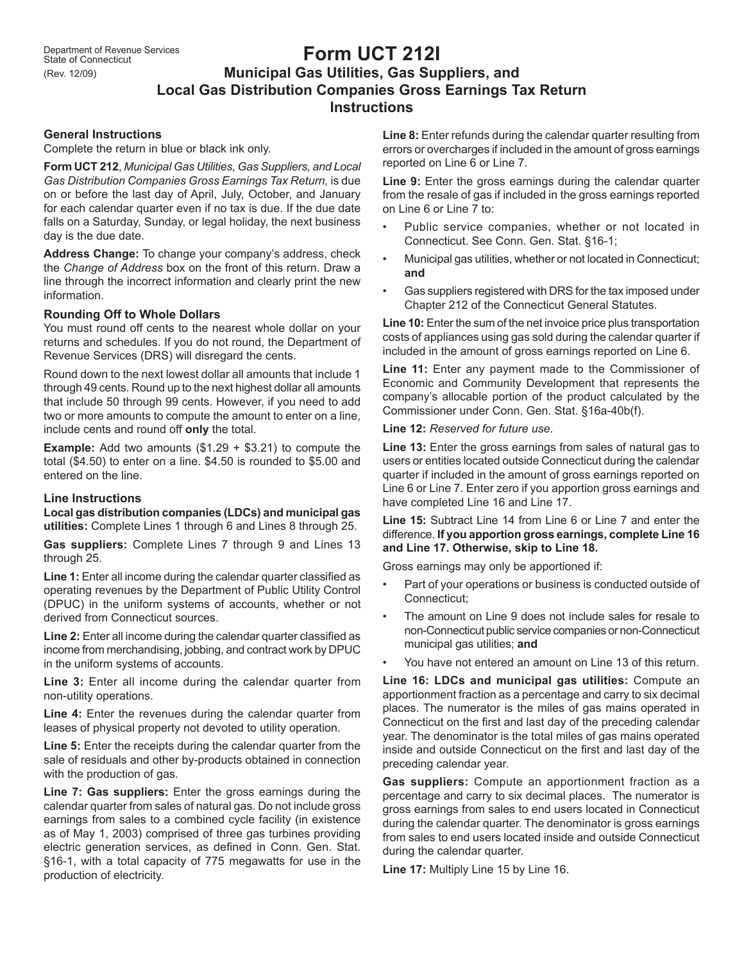# **Form UCT 212I Municipal Gas Utilities, Gas Suppliers, and Local Gas Distribution Companies Gross Earnings Tax Return Instructions**

# **General Instructions**

Complete the return in blue or black ink only.

**Form UCT 212**, *Municipal Gas Utilities, Gas Suppliers, and Local Gas Distribution Companies Gross Earnings Tax Return,* is due on or before the last day of April, July, October, and January for each calendar quarter even if no tax is due. If the due date falls on a Saturday, Sunday, or legal holiday, the next business day is the due date.

**Address Change:** To change your company's address, check the *Change of Address* box on the front of this return. Draw a line through the incorrect information and clearly print the new information.

## **Rounding Off to Whole Dollars**

You must round off cents to the nearest whole dollar on your returns and schedules. If you do not round, the Department of Revenue Services (DRS) will disregard the cents.

Round down to the next lowest dollar all amounts that include 1 through 49 cents. Round up to the next highest dollar all amounts that include 50 through 99 cents. However, if you need to add two or more amounts to compute the amount to enter on a line, include cents and round off **only** the total.

**Example:** Add two amounts (\$1.29 + \$3.21) to compute the total (\$4.50) to enter on a line. \$4.50 is rounded to \$5.00 and entered on the line.

## **Line Instructions**

**Local gas distribution companies (LDCs) and municipal gas utilities:** Complete Lines 1 through 6 and Lines 8 through 25.

**Gas suppliers:** Complete Lines 7 through 9 and Lines 13 through 25.

Line 1: Enter all income during the calendar quarter classified as operating revenues by the Department of Public Utility Control (DPUC) in the uniform systems of accounts, whether or not derived from Connecticut sources.

**Line 2:** Enter all income during the calendar quarter classified as income from merchandising, jobbing, and contract work by DPUC in the uniform systems of accounts.

Line 3: Enter all income during the calendar quarter from non-utility operations.

Line 4: Enter the revenues during the calendar quarter from leases of physical property not devoted to utility operation.

**Line 5:** Enter the receipts during the calendar quarter from the sale of residuals and other by-products obtained in connection with the production of gas.

**Line 7: Gas suppliers:** Enter the gross earnings during the calendar quarter from sales of natural gas. Do not include gross earnings from sales to a combined cycle facility (in existence as of May 1, 2003) comprised of three gas turbines providing electric generation services, as defined in Conn. Gen. Stat. §16-1, with a total capacity of 775 megawatts for use in the production of electricity.

**Line 8:** Enter refunds during the calendar quarter resulting from errors or overcharges if included in the amount of gross earnings reported on Line 6 or Line 7.

Line 9: Enter the gross earnings during the calendar quarter from the resale of gas if included in the gross earnings reported on Line 6 or Line 7 to:

- Public service companies, whether or not located in Connecticut. See Conn. Gen. Stat. §16-1;
- Municipal gas utilities, whether or not located in Connecticut; **and**
- Gas suppliers registered with DRS for the tax imposed under Chapter 212 of the Connecticut General Statutes.

**Line 10:** Enter the sum of the net invoice price plus transportation costs of appliances using gas sold during the calendar quarter if included in the amount of gross earnings reported on Line 6.

Line 11: Enter any payment made to the Commissioner of Economic and Community Development that represents the company's allocable portion of the product calculated by the Commissioner under Conn. Gen. Stat. §16a-40b(f).

**Line 12:** *Reserved for future use*.

**Line 13:** Enter the gross earnings from sales of natural gas to users or entities located outside Connecticut during the calendar quarter if included in the amount of gross earnings reported on Line 6 or Line 7. Enter zero if you apportion gross earnings and have completed Line 16 and Line 17.

**Line 15:** Subtract Line 14 from Line 6 or Line 7 and enter the difference. **If you apportion gross earnings, complete Line 16 and Line 17. Otherwise, skip to Line 18.**

Gross earnings may only be apportioned if:

- Part of your operations or business is conducted outside of Connecticut;
- The amount on Line 9 does not include sales for resale to non-Connecticut public service companies or non-Connecticut municipal gas utilities; **and**
- You have not entered an amount on Line 13 of this return.

**Line 16: LDCs and municipal gas utilities:** Compute an apportionment fraction as a percentage and carry to six decimal places. The numerator is the miles of gas mains operated in Connecticut on the first and last day of the preceding calendar year. The denominator is the total miles of gas mains operated inside and outside Connecticut on the first and last day of the preceding calendar year.

**Gas suppliers:** Compute an apportionment fraction as a percentage and carry to six decimal places. The numerator is gross earnings from sales to end users located in Connecticut during the calendar quarter. The denominator is gross earnings from sales to end users located inside and outside Connecticut during the calendar quarter.

**Line 17:** Multiply Line 15 by Line 16.